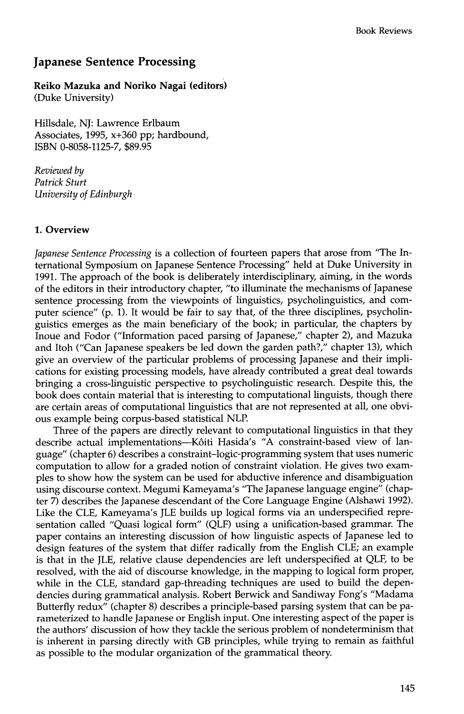## **Japanese Sentence Processing**

**Reiko Mazuka and Noriko Nagai (editors)**  (Duke University)

Hillsdale, NJ: Lawrence Erlbaum Associates, 1995, x+360 pp; hardbound, ISBN 0-8058-1125-7, \$89.95

*Reviewed by Patrick Sturt University of Edinburgh* 

## **1. Overview**

*Japanese Sentence Processing* is a collection of fourteen papers that arose from "The International Symposium on Japanese Sentence Processing" held at Duke University in 1991. The approach of the book is deliberately interdisciplinary, aiming, in the words of the editors in their introductory chapter, "to illuminate the mechanisms of Japanese sentence processing from the viewpoints of linguistics, psycholinguistics, and computer science" (p. 1). It would be fair to say that, of the three disciplines, psycholinguistics emerges as the main beneficiary of the book; in particular, the chapters by Inoue and Fodor ("Information paced parsing of Japanese," chapter 2), and Mazuka and Itoh ("Can Japanese speakers be led down the garden path?," chapter 13), which give an overview of the particular problems of processing Japanese and their implications for existing processing models, have already contributed a great deal towards bringing a cross-linguistic perspective to psycholinguistic research. Despite this, the book does contain material that is interesting to computational linguists, though there are certain areas of computational linguistics that are not represented at all, one obvious example being corpus-based statistical NLP.

Three of the papers are directly relevant to computational linguistics in that they describe actual implementations--K6iti Hasida's "A constraint-based view of language" (chapter 6) describes a constraint-logic-programming system that uses numeric computation to allow for a graded notion of constraint violation. He gives two examples to show how the system can be used for abductive inference and disambiguation using discourse context. Megumi Kameyama's "The Japanese language engine" (chapter 7) describes the Japanese descendant of the Core Language Engine (Alshawi 1992). Like the CLE, Kameyama's JLE builds up logical forms via an underspecified representation called "Quasi logical form" (QLF) using a unification-based grammar. The paper contains an interesting discussion of how linguistic aspects of Japanese led to design features of the system that differ radically from the English CLE; an example is that in the JLE, relative clause dependencies are left underspecified at QLF, to be resolved, with the aid of discourse knowledge, in the mapping to logical form proper, while in the CLE, standard gap-threading techniques are used to build the dependencies during grammatical analysis. Robert Berwick and Sandiway Fong's "Madama Butterfly redux" (chapter 8) describes a principle-based parsing system that can be parameterized to handle Japanese or English input. One interesting aspect of the paper is the authors' discussion of how they tackle the serious problem of nondeterminism that is inherent in parsing directly with GB principles, while trying to remain as faithful as possible to the modular organization of the grammatical theory.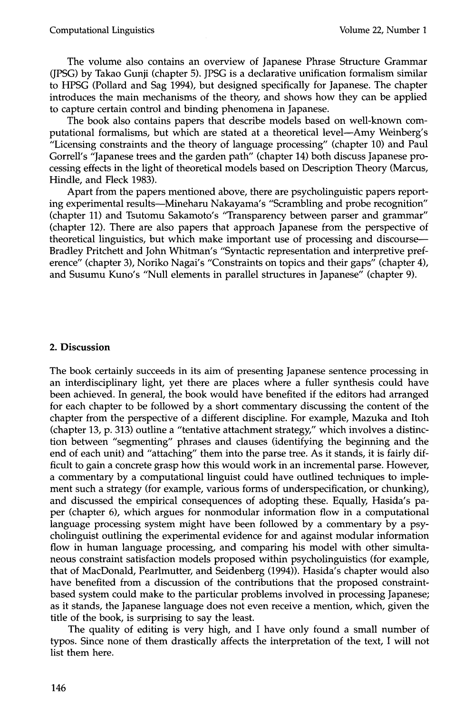The volume also contains an overview of Japanese Phrase Structure Grammar (JPSG) by Takao Gunji (chapter 5). JPSG is a declarative unification formalism similar to HPSG (Pollard and Sag 1994), but designed specifically for Japanese. The chapter introduces the main mechanisms of the theory, and shows how they can be applied to capture certain control and binding phenomena in Japanese.

The book also contains papers that describe models based on well-known computational formalisms, but which are stated at a theoretical level--Amy Weinberg's "Licensing constraints and the theory of language processing" (chapter 10) and Paul Gorrell's "Japanese trees and the garden path" (chapter 14) both discuss Japanese processing effects in the light of theoretical models based on Description Theory (Marcus, Hindle, and Fleck 1983).

Apart from the papers mentioned above, there are psycholinguistic papers reporting experimental results--Mineharu Nakayama's "Scrambling and probe recognition" (chapter 11) and Tsutomu Sakamoto's "Transparency between parser and grammar" (chapter 12). There are also papers that approach Japanese from the perspective of theoretical linguistics, but which make important use of processing and discourse Bradley Pritchett and John Whitman's "Syntactic representation and interpretive preference" (chapter 3), Noriko Nagai's "Constraints on topics and their gaps" (chapter 4), and Susumu Kuno's "Null elements in parallel structures in Japanese" (chapter 9).

## 2. Discussion

The book certainly succeeds in its aim of presenting Japanese sentence processing in an interdisciplinary light, yet there are places where a fuller synthesis could have been achieved. In general, the book would have benefited if the editors had arranged for each chapter to be followed by a short commentary discussing the content of the chapter from the perspective of a different discipline. For example, Mazuka and Itoh (chapter 13, p. 313) outline a "tentative attachment strategy," which involves a distinction between "segmenting" phrases and clauses (identifying the beginning and the end of each unit) and "attaching" them into the parse tree. As it stands, it is fairly difficult to gain a concrete grasp how this would work in an incremental parse. However, a commentary by a computational linguist could have outlined techniques to implement such a strategy (for example, various forms of underspecification, or chunking), and discussed the empirical consequences of adopting these. Equally, Hasida's paper (chapter 6), which argues for nonmodular information flow in a computational language processing system might have been followed by a commentary by a psycholinguist outlining the experimental evidence for and against modular information flow in human language processing, and comparing his model with other simultaneous constraint satisfaction models proposed within psycholinguistics (for example, that of MacDonald, Pearlmutter, and Seidenberg (1994)). Hasida's chapter would also have benefited from a discussion of the contributions that the proposed constraintbased system could make to the particular problems involved in processing Japanese; as it stands, the Japanese language does not even receive a mention, which, given the title of the book, is surprising to say the least.

The quality of editing is very high, and I have only found a small number of typos. Since none of them drastically affects the interpretation of the text, I will not list them here.